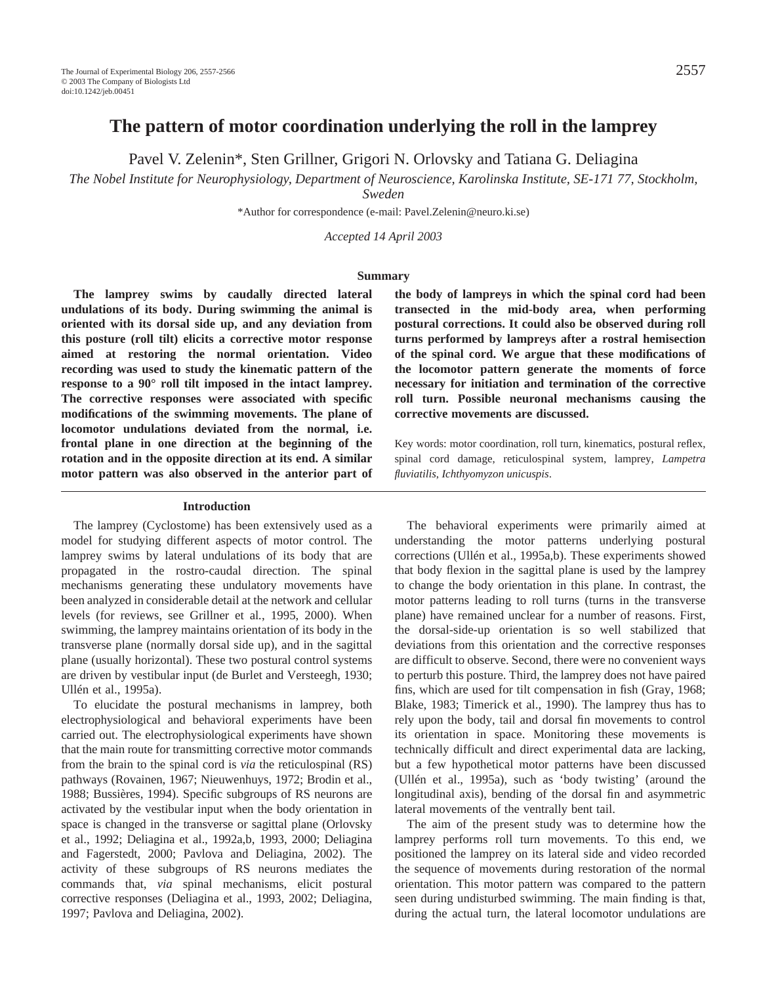# **The pattern of motor coordination underlying the roll in the lamprey**

Pavel V. Zelenin\*, Sten Grillner, Grigori N. Orlovsky and Tatiana G. Deliagina

*The Nobel Institute for Neurophysiology, Department of Neuroscience, Karolinska Institute, SE-171 77, Stockholm, Sweden*

\*Author for correspondence (e-mail: Pavel.Zelenin@neuro.ki.se)

*Accepted 14 April 2003* 

#### **Summary**

**The lamprey swims by caudally directed lateral undulations of its body. During swimming the animal is oriented with its dorsal side up, and any deviation from this posture (roll tilt) elicits a corrective motor response aimed at restoring the normal orientation. Video recording was used to study the kinematic pattern of the response to a 90° roll tilt imposed in the intact lamprey. The corrective responses were associated with specific modifications of the swimming movements. The plane of locomotor undulations deviated from the normal, i.e. frontal plane in one direction at the beginning of the rotation and in the opposite direction at its end. A similar motor pattern was also observed in the anterior part of**

#### **Introduction**

The lamprey (Cyclostome) has been extensively used as a model for studying different aspects of motor control. The lamprey swims by lateral undulations of its body that are propagated in the rostro-caudal direction. The spinal mechanisms generating these undulatory movements have been analyzed in considerable detail at the network and cellular levels (for reviews, see Grillner et al*.*, 1995, 2000). When swimming, the lamprey maintains orientation of its body in the transverse plane (normally dorsal side up), and in the sagittal plane (usually horizontal). These two postural control systems are driven by vestibular input (de Burlet and Versteegh, 1930; Ullén et al., 1995a).

To elucidate the postural mechanisms in lamprey, both electrophysiological and behavioral experiments have been carried out. The electrophysiological experiments have shown that the main route for transmitting corrective motor commands from the brain to the spinal cord is *via* the reticulospinal (RS) pathways (Rovainen, 1967; Nieuwenhuys, 1972; Brodin et al., 1988; Bussières, 1994). Specific subgroups of RS neurons are activated by the vestibular input when the body orientation in space is changed in the transverse or sagittal plane (Orlovsky et al., 1992; Deliagina et al., 1992a,b, 1993, 2000; Deliagina and Fagerstedt, 2000; Pavlova and Deliagina, 2002). The activity of these subgroups of RS neurons mediates the commands that, *via* spinal mechanisms, elicit postural corrective responses (Deliagina et al., 1993, 2002; Deliagina, 1997; Pavlova and Deliagina, 2002).

**the body of lampreys in which the spinal cord had been transected in the mid-body area, when performing postural corrections. It could also be observed during roll turns performed by lampreys after a rostral hemisection of the spinal cord. We argue that these modifications of the locomotor pattern generate the moments of force necessary for initiation and termination of the corrective roll turn. Possible neuronal mechanisms causing the corrective movements are discussed.**

Key words: motor coordination, roll turn, kinematics, postural reflex, spinal cord damage, reticulospinal system, lamprey, *Lampetra fluviatilis*, *Ichthyomyzon unicuspis*.

The behavioral experiments were primarily aimed at understanding the motor patterns underlying postural corrections (Ullén et al., 1995a,b). These experiments showed that body flexion in the sagittal plane is used by the lamprey to change the body orientation in this plane. In contrast, the motor patterns leading to roll turns (turns in the transverse plane) have remained unclear for a number of reasons. First, the dorsal-side-up orientation is so well stabilized that deviations from this orientation and the corrective responses are difficult to observe. Second, there were no convenient ways to perturb this posture. Third, the lamprey does not have paired fins, which are used for tilt compensation in fish (Gray, 1968; Blake, 1983; Timerick et al., 1990). The lamprey thus has to rely upon the body, tail and dorsal fin movements to control its orientation in space. Monitoring these movements is technically difficult and direct experimental data are lacking, but a few hypothetical motor patterns have been discussed (Ullén et al., 1995a), such as 'body twisting' (around the longitudinal axis), bending of the dorsal fin and asymmetric lateral movements of the ventrally bent tail.

The aim of the present study was to determine how the lamprey performs roll turn movements. To this end, we positioned the lamprey on its lateral side and video recorded the sequence of movements during restoration of the normal orientation. This motor pattern was compared to the pattern seen during undisturbed swimming. The main finding is that, during the actual turn, the lateral locomotor undulations are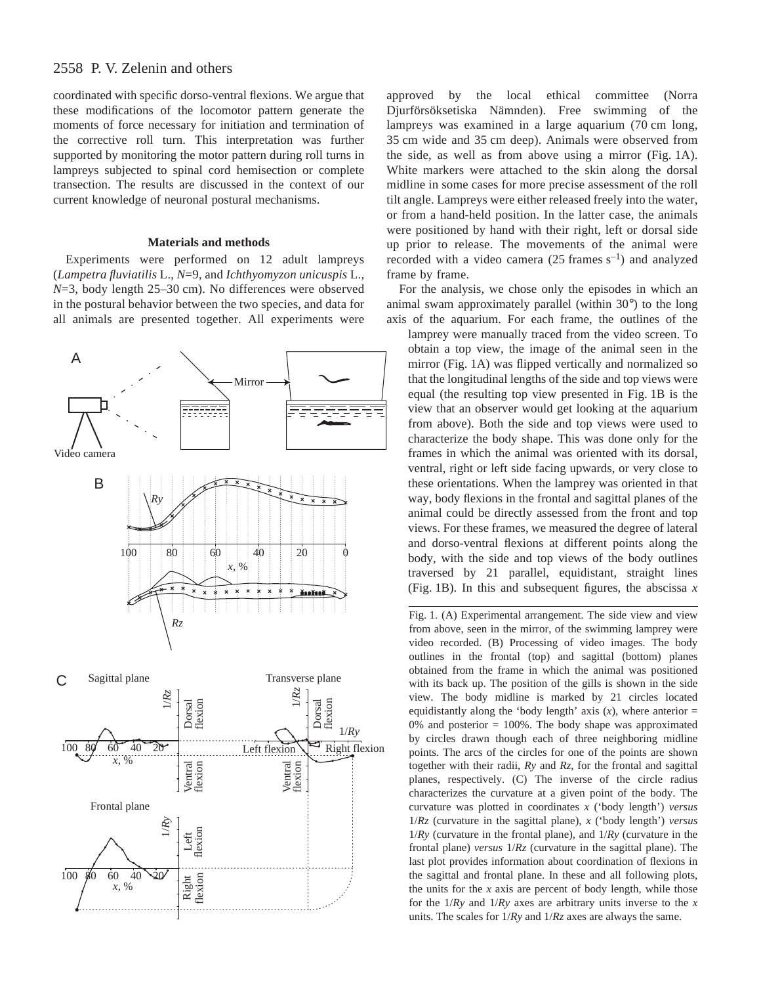# 2558 P. V. Zelenin and others

coordinated with specific dorso-ventral flexions. We argue that these modifications of the locomotor pattern generate the moments of force necessary for initiation and termination of the corrective roll turn. This interpretation was further supported by monitoring the motor pattern during roll turns in lampreys subjected to spinal cord hemisection or complete transection. The results are discussed in the context of our current knowledge of neuronal postural mechanisms.

#### **Materials and methods**

Experiments were performed on 12 adult lampreys (*Lampetra fluviatilis* L., *N*=9, and *Ichthyomyzon unicuspis* L., *N*=3, body length 25–30 cm). No differences were observed in the postural behavior between the two species, and data for all animals are presented together. All experiments were



approved by the local ethical committee (Norra Djurförsöksetiska Nämnden). Free swimming of the lampreys was examined in a large aquarium (70 cm long, 35 cm wide and 35 cm deep). Animals were observed from the side, as well as from above using a mirror (Fig.  $1A$ ). White markers were attached to the skin along the dorsal midline in some cases for more precise assessment of the roll tilt angle. Lampreys were either released freely into the water, or from a hand-held position. In the latter case, the animals were positioned by hand with their right, left or dorsal side up prior to release. The movements of the animal were recorded with a video camera  $(25$  frames  $s^{-1}$ ) and analyzed frame by frame.

For the analysis, we chose only the episodes in which an animal swam approximately parallel (within 30°) to the long axis of the aquarium. For each frame, the outlines of the

lamprey were manually traced from the video screen. To obtain a top view, the image of the animal seen in the mirror (Fig. 1A) was flipped vertically and normalized so that the longitudinal lengths of the side and top views were equal (the resulting top view presented in Fig. 1B is the view that an observer would get looking at the aquarium from above). Both the side and top views were used to characterize the body shape. This was done only for the frames in which the animal was oriented with its dorsal, ventral, right or left side facing upwards, or very close to these orientations. When the lamprey was oriented in that way, body flexions in the frontal and sagittal planes of the animal could be directly assessed from the front and top views. For these frames, we measured the degree of lateral and dorso-ventral flexions at different points along the body, with the side and top views of the body outlines traversed by 21 parallel, equidistant, straight lines (Fig. 1B). In this and subsequent figures, the abscissa  $x$ 

Fig. 1. (A) Experimental arrangement. The side view and view from above, seen in the mirror, of the swimming lamprey were video recorded. (B) Processing of video images. The body outlines in the frontal (top) and sagittal (bottom) planes obtained from the frame in which the animal was positioned with its back up. The position of the gills is shown in the side view. The body midline is marked by 21 circles located equidistantly along the 'body length' axis  $(x)$ , where anterior = 0% and posterior  $= 100\%$ . The body shape was approximated by circles drawn though each of three neighboring midline points. The arcs of the circles for one of the points are shown together with their radii, *Ry* and *Rz*, for the frontal and sagittal planes, respectively. (C) The inverse of the circle radius characterizes the curvature at a given point of the body. The curvature was plotted in coordinates *x* ('body length') *versus* 1/*Rz* (curvature in the sagittal plane), *x* ('body length') *versus* 1/*Ry* (curvature in the frontal plane), and 1/*Ry* (curvature in the frontal plane) *versus* 1/*Rz* (curvature in the sagittal plane). The last plot provides information about coordination of flexions in the sagittal and frontal plane. In these and all following plots, the units for the *x* axis are percent of body length, while those for the 1/*Ry* and 1/*Ry* axes are arbitrary units inverse to the *x* units. The scales for 1/*Ry* and 1/*Rz* axes are always the same.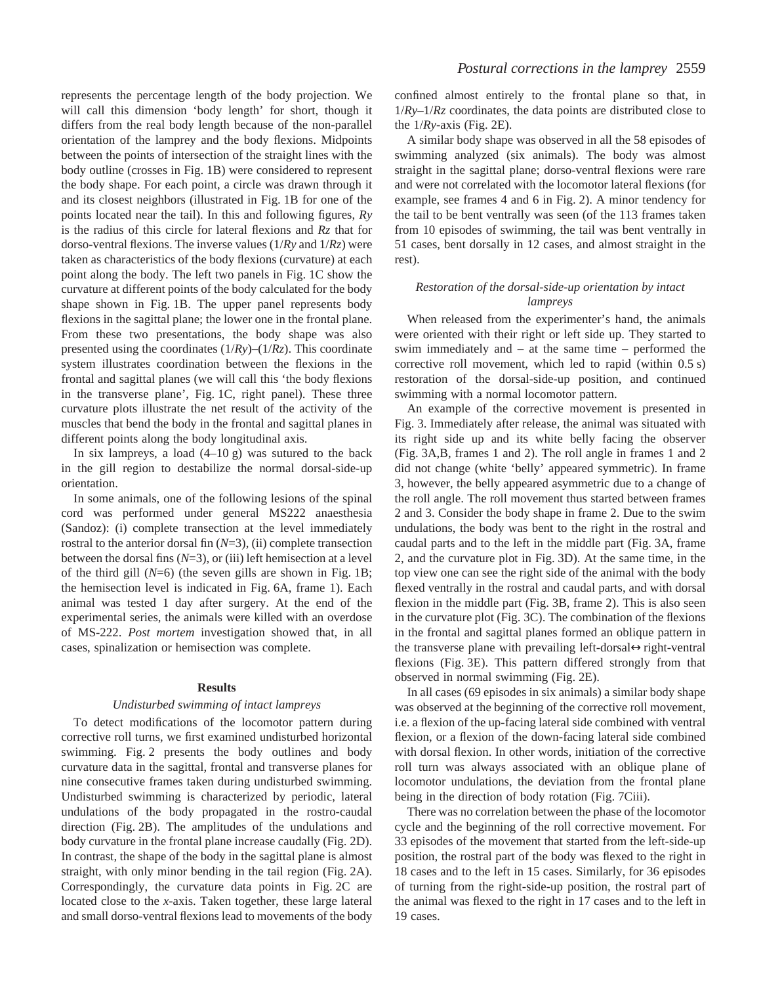represents the percentage length of the body projection. We will call this dimension 'body length' for short, though it differs from the real body length because of the non-parallel orientation of the lamprey and the body flexions. Midpoints between the points of intersection of the straight lines with the body outline (crosses in Fig. 1B) were considered to represent the body shape. For each point, a circle was drawn through it and its closest neighbors (illustrated in Fig. 1B for one of the points located near the tail). In this and following figures, *Ry* is the radius of this circle for lateral flexions and *Rz* that for dorso-ventral flexions. The inverse values (1/*Ry* and 1/*Rz*) were taken as characteristics of the body flexions (curvature) at each point along the body. The left two panels in Fig. 1C show the curvature at different points of the body calculated for the body shape shown in Fig. 1B. The upper panel represents body flexions in the sagittal plane; the lower one in the frontal plane. From these two presentations, the body shape was also presented using the coordinates (1/*Ry*)*–*(1/*Rz*). This coordinate system illustrates coordination between the flexions in the frontal and sagittal planes (we will call this 'the body flexions in the transverse plane', Fig. 1C, right panel). These three curvature plots illustrate the net result of the activity of the muscles that bend the body in the frontal and sagittal planes in different points along the body longitudinal axis.

In six lampreys, a load  $(4-10\text{ g})$  was sutured to the back in the gill region to destabilize the normal dorsal-side-up orientation.

In some animals, one of the following lesions of the spinal cord was performed under general MS222 anaesthesia (Sandoz): (i) complete transection at the level immediately rostral to the anterior dorsal fin (*N*=3), (ii) complete transection between the dorsal fins (*N*=3), or (iii) left hemisection at a level of the third gill  $(N=6)$  (the seven gills are shown in Fig. 1B; the hemisection level is indicated in Fig. 6A, frame 1). Each animal was tested 1 day after surgery. At the end of the experimental series, the animals were killed with an overdose of MS-222. *Post mortem* investigation showed that, in all cases, spinalization or hemisection was complete.

#### **Results**

#### *Undisturbed swimming of intact lampreys*

To detect modifications of the locomotor pattern during corrective roll turns, we first examined undisturbed horizontal swimming. Fig. 2 presents the body outlines and body curvature data in the sagittal, frontal and transverse planes for nine consecutive frames taken during undisturbed swimming. Undisturbed swimming is characterized by periodic, lateral undulations of the body propagated in the rostro-caudal direction (Fig. 2B). The amplitudes of the undulations and body curvature in the frontal plane increase caudally (Fig. 2D). In contrast, the shape of the body in the sagittal plane is almost straight, with only minor bending in the tail region (Fig. 2A). Correspondingly, the curvature data points in Fig. 2C are located close to the *x*-axis. Taken together, these large lateral and small dorso-ventral flexions lead to movements of the body confined almost entirely to the frontal plane so that, in  $1/Ry-1/Rz$  coordinates, the data points are distributed close to the  $1/Ry$ -axis (Fig. 2E).

A similar body shape was observed in all the 58 episodes of swimming analyzed (six animals). The body was almost straight in the sagittal plane; dorso-ventral flexions were rare and were not correlated with the locomotor lateral flexions (for example, see frames  $4$  and  $6$  in Fig. 2). A minor tendency for the tail to be bent ventrally was seen (of the 113 frames taken from 10 episodes of swimming, the tail was bent ventrally in 51 cases, bent dorsally in 12 cases, and almost straight in the rest).

### *Restoration of the dorsal-side-up orientation by intact lampreys*

When released from the experimenter's hand, the animals were oriented with their right or left side up. They started to swim immediately and – at the same time – performed the corrective roll movement, which led to rapid (within 0.5 s) restoration of the dorsal-side-up position, and continued swimming with a normal locomotor pattern.

An example of the corrective movement is presented in Fig. 3. Immediately after release, the animal was situated with its right side up and its white belly facing the observer (Fig. 3A,B, frames 1 and 2). The roll angle in frames 1 and 2 did not change (white 'belly' appeared symmetric). In frame 3, however, the belly appeared asymmetric due to a change of the roll angle. The roll movement thus started between frames 2 and 3. Consider the body shape in frame 2. Due to the swim undulations, the body was bent to the right in the rostral and caudal parts and to the left in the middle part (Fig. 3A, frame 2, and the curvature plot in Fig. 3D). At the same time, in the top view one can see the right side of the animal with the body flexed ventrally in the rostral and caudal parts, and with dorsal flexion in the middle part (Fig. 3B, frame 2). This is also seen in the curvature plot (Fig. 3C). The combination of the flexions in the frontal and sagittal planes formed an oblique pattern in the transverse plane with prevailing left-dorsal↔right-ventral flexions (Fig. 3E). This pattern differed strongly from that observed in normal swimming (Fig. 2E).

In all cases (69 episodes in six animals) a similar body shape was observed at the beginning of the corrective roll movement, i.e. a flexion of the up-facing lateral side combined with ventral flexion, or a flexion of the down-facing lateral side combined with dorsal flexion. In other words, initiation of the corrective roll turn was always associated with an oblique plane of locomotor undulations, the deviation from the frontal plane being in the direction of body rotation (Fig. 7Ciii).

There was no correlation between the phase of the locomotor cycle and the beginning of the roll corrective movement. For 33 episodes of the movement that started from the left-side-up position, the rostral part of the body was flexed to the right in 18 cases and to the left in 15 cases. Similarly, for 36 episodes of turning from the right-side-up position, the rostral part of the animal was flexed to the right in 17 cases and to the left in 19 cases.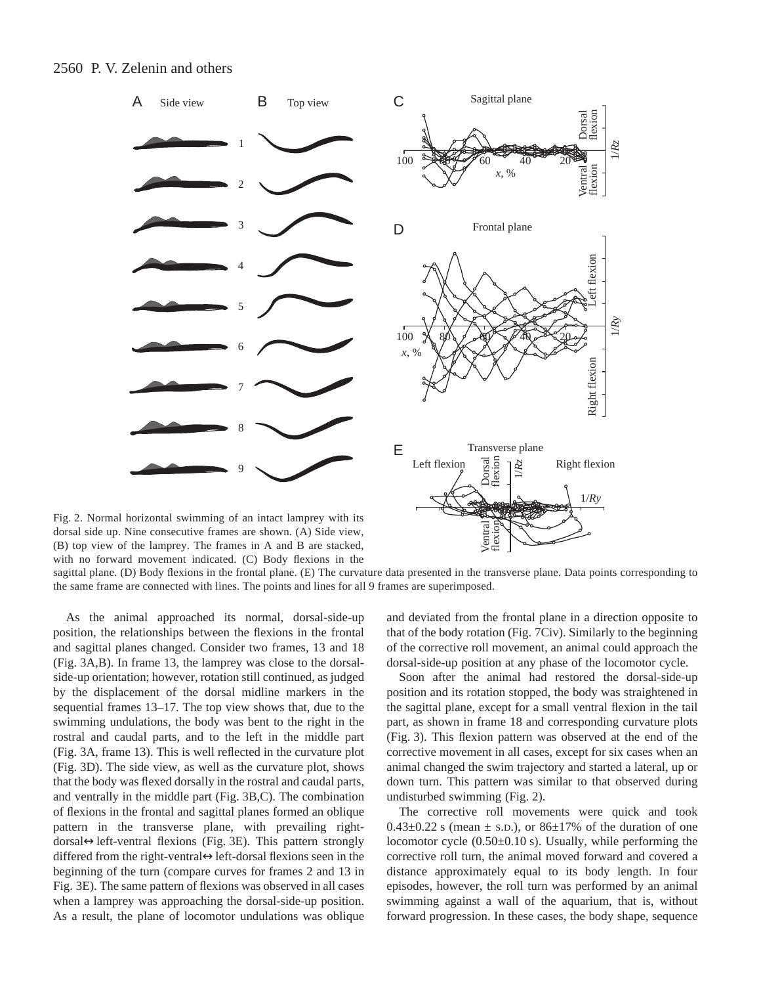

Fig. 2. Normal horizontal swimming of an intact lamprey with its dorsal side up. Nine consecutive frames are shown. (A) Side view, (B) top view of the lamprey. The frames in A and B are stacked, with no forward movement indicated. (C) Body flexions in the

sagittal plane. (D) Body flexions in the frontal plane. (E) The curvature data presented in the transverse plane. Data points corresponding to the same frame are connected with lines. The points and lines for all 9 frames are superimposed.

As the animal approached its normal, dorsal-side-up position, the relationships between the flexions in the frontal and sagittal planes changed. Consider two frames, 13 and 18 (Fig. 3A,B). In frame 13, the lamprey was close to the dorsalside-up orientation; however, rotation still continued, as judged by the displacement of the dorsal midline markers in the sequential frames 13–17. The top view shows that, due to the swimming undulations, the body was bent to the right in the rostral and caudal parts, and to the left in the middle part (Fig. 3A, frame 13). This is well reflected in the curvature plot (Fig. 3D). The side view, as well as the curvature plot, shows that the body was flexed dorsally in the rostral and caudal parts, and ventrally in the middle part (Fig. 3B,C). The combination of flexions in the frontal and sagittal planes formed an oblique pattern in the transverse plane, with prevailing rightdorsal⇔left-ventral flexions (Fig. 3E). This pattern strongly differed from the right-ventral⇔left-dorsal flexions seen in the beginning of the turn (compare curves for frames 2 and 13 in Fig. 3E). The same pattern of flexions was observed in all cases when a lamprey was approaching the dorsal-side-up position. As a result, the plane of locomotor undulations was oblique and deviated from the frontal plane in a direction opposite to that of the body rotation (Fig. 7Civ). Similarly to the beginning of the corrective roll movement, an animal could approach the dorsal-side-up position at any phase of the locomotor cycle.

Soon after the animal had restored the dorsal-side-up position and its rotation stopped, the body was straightened in the sagittal plane, except for a small ventral flexion in the tail part, as shown in frame 18 and corresponding curvature plots (Fig. 3). This flexion pattern was observed at the end of the corrective movement in all cases, except for six cases when an animal changed the swim trajectory and started a lateral, up or down turn. This pattern was similar to that observed during undisturbed swimming (Fig. 2).

The corrective roll movements were quick and took  $0.43\pm0.22$  s (mean  $\pm$  s.D.), or 86 $\pm$ 17% of the duration of one locomotor cycle  $(0.50\pm0.10 \text{ s})$ . Usually, while performing the corrective roll turn, the animal moved forward and covered a distance approximately equal to its body length. In four episodes, however, the roll turn was performed by an animal swimming against a wall of the aquarium, that is, without forward progression. In these cases, the body shape, sequence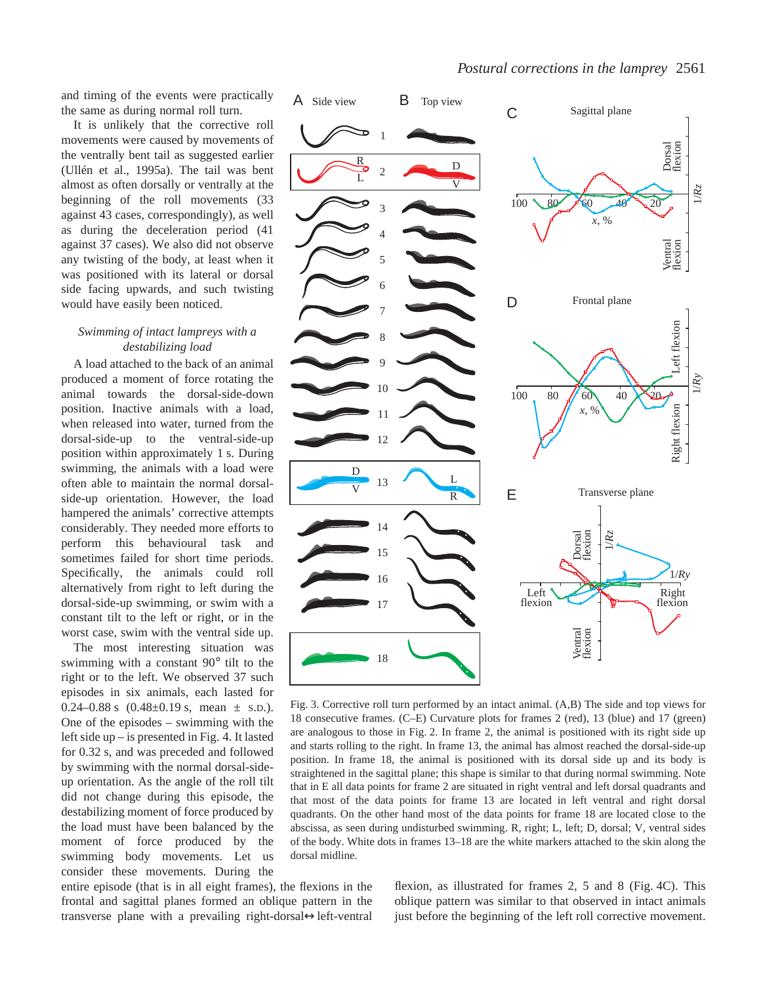and timing of the events were practically the same as during normal roll turn.

It is unlikely that the corrective roll movements were caused by movements of the ventrally bent tail as suggested earlier (Ullén et al., 1995a). The tail was bent almost as often dorsally or ventrally at the beginning of the roll movements (33 against 43 cases, correspondingly), as well as during the deceleration period (41 against 37 cases). We also did not observe any twisting of the body, at least when it was positioned with its lateral or dorsal side facing upwards, and such twisting would have easily been noticed.

### *Swimming of intact lampreys with a destabilizing load*

A load attached to the back of an animal produced a moment of force rotating the animal towards the dorsal-side-down position. Inactive animals with a load, when released into water, turned from the dorsal-side-up to the ventral-side-up position within approximately 1 s. During swimming, the animals with a load were often able to maintain the normal dorsalside-up orientation. However, the load hampered the animals' corrective attempts considerably. They needed more efforts to perform this behavioural task and sometimes failed for short time periods. Specifically, the animals could roll alternatively from right to left during the dorsal-side-up swimming, or swim with a constant tilt to the left or right, or in the worst case, swim with the ventral side up.

The most interesting situation was swimming with a constant 90° tilt to the right or to the left. We observed 37 such episodes in six animals, each lasted for 0.24–0.88 s  $(0.48\pm0.19 \text{ s}, \text{mean } \pm \text{ s.D.})$ . One of the episodes – swimming with the left side up  $-$  is presented in Fig. 4. It lasted for 0.32 s, and was preceded and followed by swimming with the normal dorsal-sideup orientation. As the angle of the roll tilt did not change during this episode, the destabilizing moment of force produced by the load must have been balanced by the moment of force produced by the swimming body movements. Let us consider these movements. During the

entire episode (that is in all eight frames), the flexions in the frontal and sagittal planes formed an oblique pattern in the transverse plane with a prevailing right-dorsal↔left-ventral

flexion, as illustrated for frames 2, 5 and 8 (Fig. 4C). This oblique pattern was similar to that observed in intact animals just before the beginning of the left roll corrective movement.

Fig. 3. Corrective roll turn performed by an intact animal. (A,B) The side and top views for 18 consecutive frames. (C–E) Curvature plots for frames 2 (red), 13 (blue) and 17 (green) are analogous to those in Fig.  $2$ . In frame  $2$ , the animal is positioned with its right side up and starts rolling to the right. In frame 13, the animal has almost reached the dorsal-side-up position. In frame 18, the animal is positioned with its dorsal side up and its body is straightened in the sagittal plane; this shape is similar to that during normal swimming. Note that in E all data points for frame 2 are situated in right ventral and left dorsal quadrants and that most of the data points for frame 13 are located in left ventral and right dorsal quadrants. On the other hand most of the data points for frame 18 are located close to the abscissa, as seen during undisturbed swimming. R, right; L, left; D, dorsal; V, ventral sides of the body. White dots in frames 13–18 are the white markers attached to the skin along the dorsal midline.

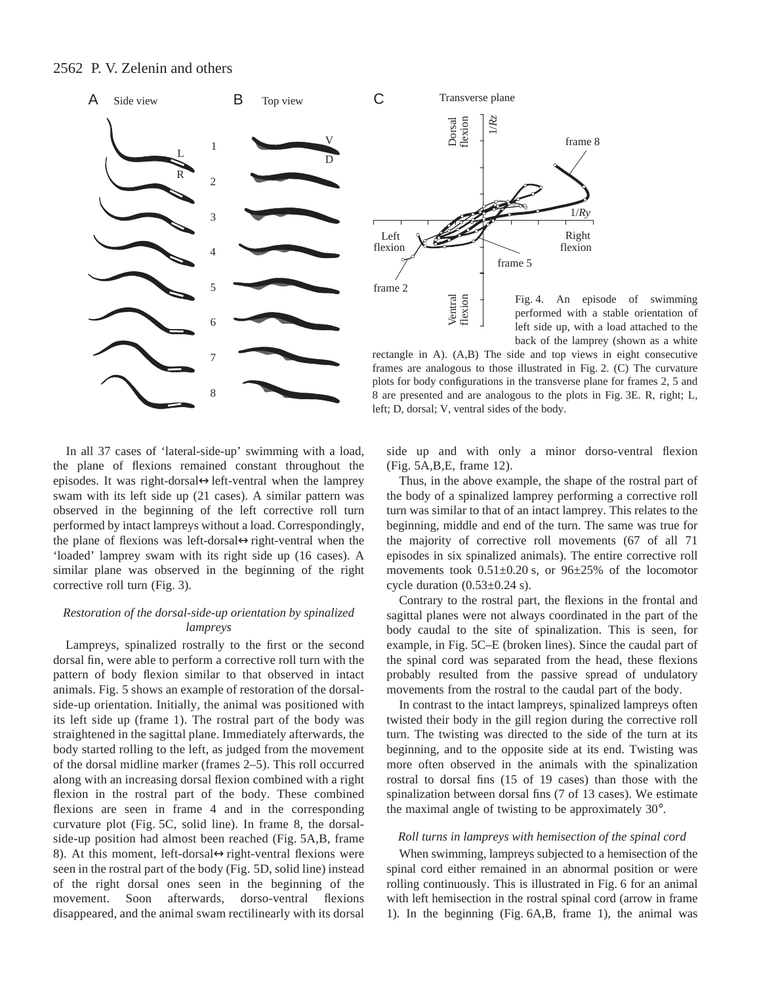



Fig. 4. An episode of swimming performed with a stable orientation of left side up, with a load attached to the back of the lamprey (shown as a white

rectangle in A). (A,B) The side and top views in eight consecutive frames are analogous to those illustrated in Fig. 2.  $(C)$  The curvature plots for body configurations in the transverse plane for frames 2, 5 and 8 are presented and are analogous to the plots in Fig. 3E. R, right; L, left; D, dorsal; V, ventral sides of the body.

In all 37 cases of 'lateral-side-up' swimming with a load, the plane of flexions remained constant throughout the episodes. It was right-dorsal⇔left-ventral when the lamprey swam with its left side up (21 cases). A similar pattern was observed in the beginning of the left corrective roll turn performed by intact lampreys without a load. Correspondingly, the plane of flexions was left-dorsal⇔right-ventral when the 'loaded' lamprey swam with its right side up (16 cases). A similar plane was observed in the beginning of the right corrective roll turn (Fig. 3).

## *Restoration of the dorsal-side-up orientation by spinalized lampreys*

Lampreys, spinalized rostrally to the first or the second dorsal fin, were able to perform a corrective roll turn with the pattern of body flexion similar to that observed in intact animals. Fig. 5 shows an example of restoration of the dorsalside-up orientation. Initially, the animal was positioned with its left side up (frame 1). The rostral part of the body was straightened in the sagittal plane. Immediately afterwards, the body started rolling to the left, as judged from the movement of the dorsal midline marker (frames 2–5). This roll occurred along with an increasing dorsal flexion combined with a right flexion in the rostral part of the body. These combined flexions are seen in frame 4 and in the corresponding curvature plot (Fig. 5C, solid line). In frame 8, the dorsalside-up position had almost been reached (Fig. 5A,B, frame 8). At this moment, left-dorsal⇔right-ventral flexions were seen in the rostral part of the body (Fig. 5D, solid line) instead of the right dorsal ones seen in the beginning of the movement. Soon afterwards, dorso-ventral flexions disappeared, and the animal swam rectilinearly with its dorsal side up and with only a minor dorso-ventral flexion  $(Fig. 5A, B, E, frame 12).$ 

Thus, in the above example, the shape of the rostral part of the body of a spinalized lamprey performing a corrective roll turn was similar to that of an intact lamprey. This relates to the beginning, middle and end of the turn. The same was true for the majority of corrective roll movements (67 of all 71 episodes in six spinalized animals). The entire corrective roll movements took  $0.51 \pm 0.20$  s, or  $96 \pm 25$ % of the locomotor cycle duration  $(0.53\pm0.24 \text{ s})$ .

Contrary to the rostral part, the flexions in the frontal and sagittal planes were not always coordinated in the part of the body caudal to the site of spinalization. This is seen, for example, in Fig. 5C–E (broken lines). Since the caudal part of the spinal cord was separated from the head, these flexions probably resulted from the passive spread of undulatory movements from the rostral to the caudal part of the body.

In contrast to the intact lampreys, spinalized lampreys often twisted their body in the gill region during the corrective roll turn. The twisting was directed to the side of the turn at its beginning, and to the opposite side at its end. Twisting was more often observed in the animals with the spinalization rostral to dorsal fins (15 of 19 cases) than those with the spinalization between dorsal fins (7 of 13 cases). We estimate the maximal angle of twisting to be approximately 30°.

### *Roll turns in lampreys with hemisection of the spinal cord*

When swimming, lampreys subjected to a hemisection of the spinal cord either remained in an abnormal position or were rolling continuously. This is illustrated in Fig. 6 for an animal with left hemisection in the rostral spinal cord (arrow in frame 1). In the beginning (Fig.  $6A,B$ , frame 1), the animal was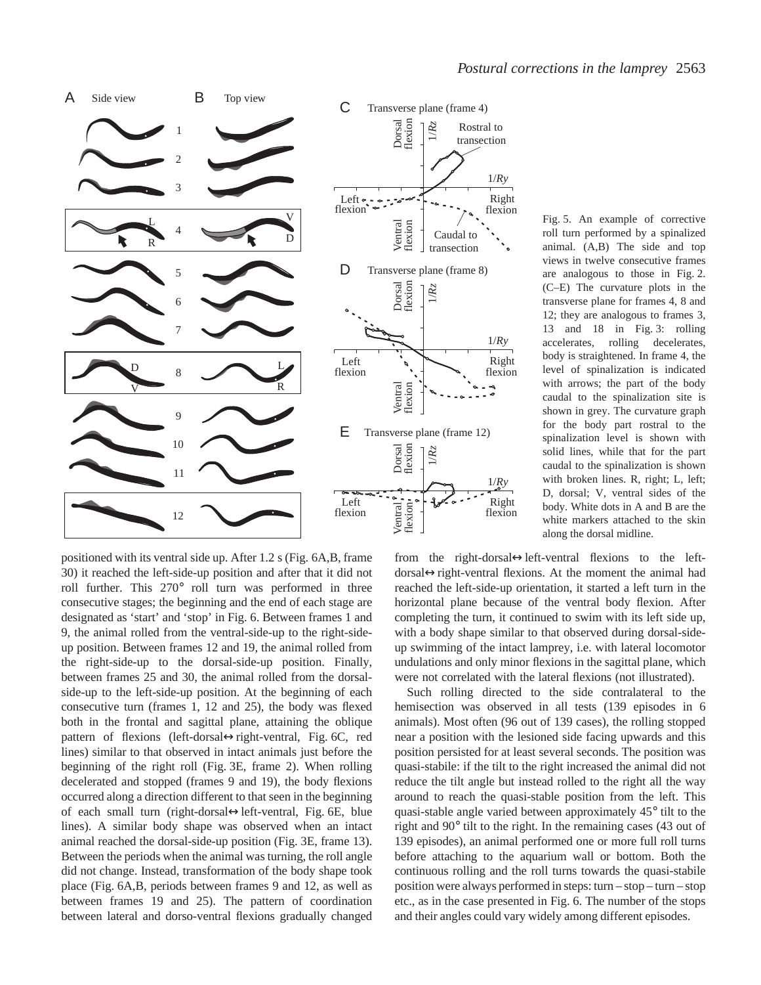

Fig. 5. An example of corrective roll turn performed by a spinalized animal. (A,B) The side and top views in twelve consecutive frames are analogous to those in Fig. 2. (C–E) The curvature plots in the transverse plane for frames 4, 8 and 12; they are analogous to frames 3, 13 and  $18$  in Fig. 3: rolling accelerates, rolling decelerates, body is straightened. In frame 4, the level of spinalization is indicated with arrows; the part of the body caudal to the spinalization site is shown in grey. The curvature graph for the body part rostral to the spinalization level is shown with solid lines, while that for the part caudal to the spinalization is shown with broken lines. R, right; L, left; D, dorsal; V, ventral sides of the body. White dots in A and B are the white markers attached to the skin

positioned with its ventral side up. After  $1.2$  s (Fig. 6A,B, frame 30) it reached the left-side-up position and after that it did not roll further. This 270° roll turn was performed in three consecutive stages; the beginning and the end of each stage are designated as 'start' and 'stop' in Fig. 6. Between frames 1 and 9, the animal rolled from the ventral-side-up to the right-sideup position. Between frames 12 and 19, the animal rolled from the right-side-up to the dorsal-side-up position. Finally, between frames 25 and 30, the animal rolled from the dorsalside-up to the left-side-up position. At the beginning of each consecutive turn (frames 1, 12 and 25), the body was flexed both in the frontal and sagittal plane, attaining the oblique pattern of flexions (left-dorsal⇔right-ventral, Fig. 6C, red lines) similar to that observed in intact animals just before the beginning of the right roll (Fig. 3E, frame 2). When rolling decelerated and stopped (frames 9 and 19), the body flexions occurred along a direction different to that seen in the beginning of each small turn (right-dorsal⇔left-ventral, Fig. 6E, blue lines). A similar body shape was observed when an intact animal reached the dorsal-side-up position (Fig. 3E, frame 13). Between the periods when the animal was turning, the roll angle did not change. Instead, transformation of the body shape took place (Fig. 6A,B, periods between frames 9 and 12, as well as between frames 19 and 25). The pattern of coordination between lateral and dorso-ventral flexions gradually changed

from the right-dorsal↔left-ventral flexions to the leftdorsal↔right-ventral flexions. At the moment the animal had reached the left-side-up orientation, it started a left turn in the horizontal plane because of the ventral body flexion. After completing the turn, it continued to swim with its left side up, with a body shape similar to that observed during dorsal-sideup swimming of the intact lamprey, i.e. with lateral locomotor undulations and only minor flexions in the sagittal plane, which were not correlated with the lateral flexions (not illustrated).

along the dorsal midline.

Such rolling directed to the side contralateral to the hemisection was observed in all tests (139 episodes in 6 animals). Most often (96 out of 139 cases), the rolling stopped near a position with the lesioned side facing upwards and this position persisted for at least several seconds. The position was quasi-stabile: if the tilt to the right increased the animal did not reduce the tilt angle but instead rolled to the right all the way around to reach the quasi-stable position from the left. This quasi-stable angle varied between approximately 45° tilt to the right and 90° tilt to the right. In the remaining cases (43 out of 139 episodes), an animal performed one or more full roll turns before attaching to the aquarium wall or bottom. Both the continuous rolling and the roll turns towards the quasi-stabile position were always performed in steps: turn – stop – turn – stop etc., as in the case presented in Fig. 6. The number of the stops and their angles could vary widely among different episodes.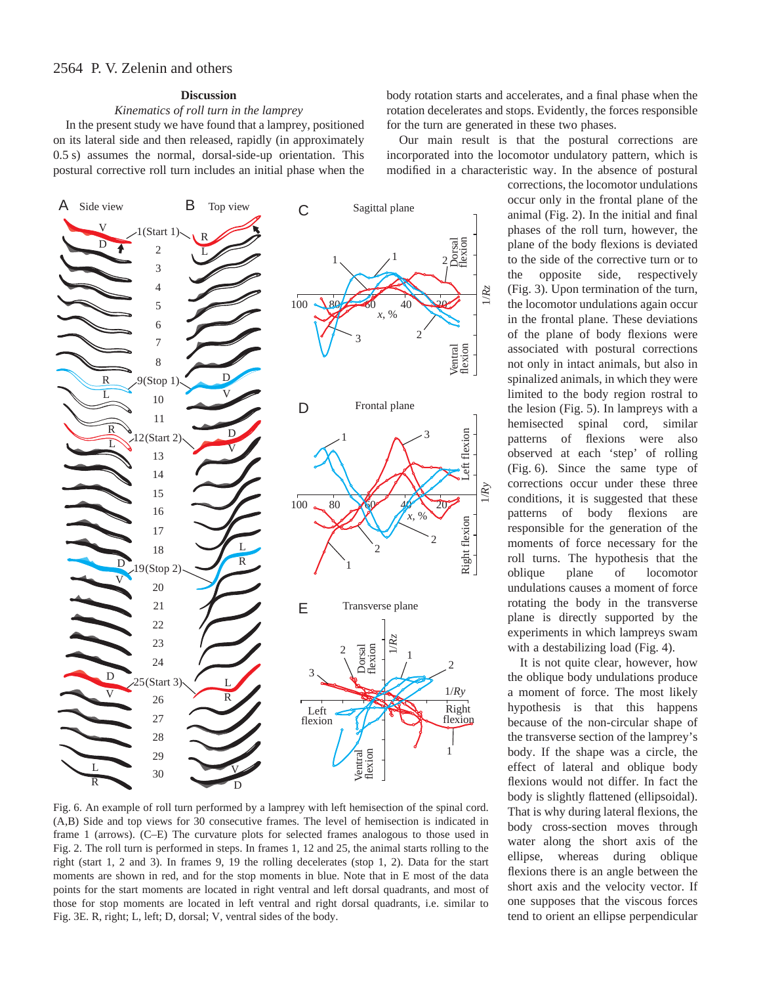### **Discussion**

### *Kinematics of roll turn in the lamprey*

In the present study we have found that a lamprey, positioned on its lateral side and then released, rapidly (in approximately 0.5 s) assumes the normal, dorsal-side-up orientation. This postural corrective roll turn includes an initial phase when the



Fig. 6. An example of roll turn performed by a lamprey with left hemisection of the spinal cord. (A,B) Side and top views for 30 consecutive frames. The level of hemisection is indicated in frame 1 (arrows). (C–E) The curvature plots for selected frames analogous to those used in Fig. 2. The roll turn is performed in steps. In frames 1, 12 and 25, the animal starts rolling to the right (start 1, 2 and 3). In frames 9, 19 the rolling decelerates (stop 1, 2). Data for the start moments are shown in red, and for the stop moments in blue. Note that in E most of the data points for the start moments are located in right ventral and left dorsal quadrants, and most of those for stop moments are located in left ventral and right dorsal quadrants, i.e. similar to Fig. 3E. R, right; L, left; D, dorsal; V, ventral sides of the body.

body rotation starts and accelerates, and a final phase when the rotation decelerates and stops. Evidently, the forces responsible for the turn are generated in these two phases.

Our main result is that the postural corrections are incorporated into the locomotor undulatory pattern, which is modified in a characteristic way. In the absence of postural

> corrections, the locomotor undulations occur only in the frontal plane of the animal (Fig. 2). In the initial and final phases of the roll turn, however, the plane of the body flexions is deviated to the side of the corrective turn or to the opposite side, respectively (Fig. 3). Upon termination of the turn, the locomotor undulations again occur in the frontal plane. These deviations of the plane of body flexions were associated with postural corrections not only in intact animals, but also in spinalized animals, in which they were limited to the body region rostral to the lesion (Fig. 5). In lampreys with a hemisected spinal cord, similar patterns of flexions were also observed at each 'step' of rolling (Fig. 6). Since the same type of corrections occur under these three conditions, it is suggested that these patterns of body flexions are responsible for the generation of the moments of force necessary for the roll turns. The hypothesis that the oblique plane of locomotor undulations causes a moment of force rotating the body in the transverse plane is directly supported by the experiments in which lampreys swam with a destabilizing load (Fig. 4).

> It is not quite clear, however, how the oblique body undulations produce a moment of force. The most likely hypothesis is that this happens because of the non-circular shape of the transverse section of the lamprey's body. If the shape was a circle, the effect of lateral and oblique body flexions would not differ. In fact the body is slightly flattened (ellipsoidal). That is why during lateral flexions, the body cross-section moves through water along the short axis of the ellipse, whereas during oblique flexions there is an angle between the short axis and the velocity vector. If one supposes that the viscous forces tend to orient an ellipse perpendicular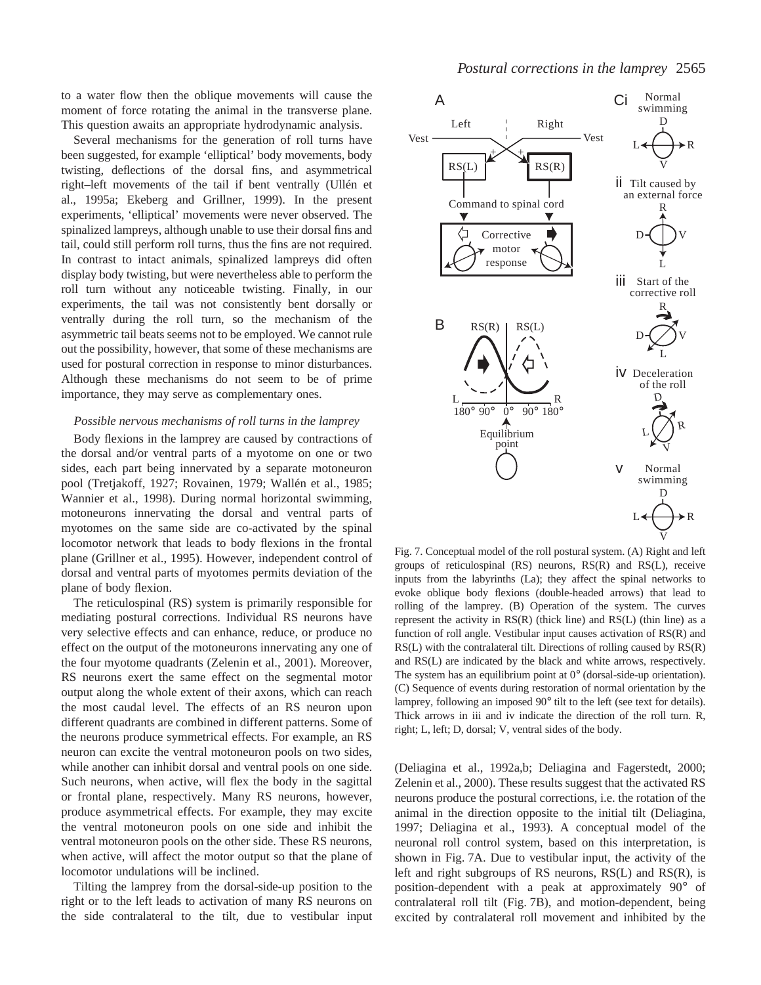to a water flow then the oblique movements will cause the moment of force rotating the animal in the transverse plane. This question awaits an appropriate hydrodynamic analysis.

Several mechanisms for the generation of roll turns have been suggested, for example 'elliptical' body movements, body twisting, deflections of the dorsal fins, and asymmetrical right–left movements of the tail if bent ventrally (Ullén et al., 1995a; Ekeberg and Grillner, 1999). In the present experiments, 'elliptical' movements were never observed. The spinalized lampreys, although unable to use their dorsal fins and tail, could still perform roll turns, thus the fins are not required. In contrast to intact animals, spinalized lampreys did often display body twisting, but were nevertheless able to perform the roll turn without any noticeable twisting. Finally, in our experiments, the tail was not consistently bent dorsally or ventrally during the roll turn, so the mechanism of the asymmetric tail beats seems not to be employed. We cannot rule out the possibility, however, that some of these mechanisms are used for postural correction in response to minor disturbances. Although these mechanisms do not seem to be of prime importance, they may serve as complementary ones.

#### *Possible nervous mechanisms of roll turns in the lamprey*

Body flexions in the lamprey are caused by contractions of the dorsal and/or ventral parts of a myotome on one or two sides, each part being innervated by a separate motoneuron pool (Tretjakoff, 1927; Rovainen, 1979; Wallén et al., 1985; Wannier et al., 1998). During normal horizontal swimming, motoneurons innervating the dorsal and ventral parts of myotomes on the same side are co-activated by the spinal locomotor network that leads to body flexions in the frontal plane (Grillner et al., 1995). However, independent control of dorsal and ventral parts of myotomes permits deviation of the plane of body flexion.

The reticulospinal (RS) system is primarily responsible for mediating postural corrections. Individual RS neurons have very selective effects and can enhance, reduce, or produce no effect on the output of the motoneurons innervating any one of the four myotome quadrants (Zelenin et al., 2001). Moreover, RS neurons exert the same effect on the segmental motor output along the whole extent of their axons, which can reach the most caudal level. The effects of an RS neuron upon different quadrants are combined in different patterns. Some of the neurons produce symmetrical effects. For example, an RS neuron can excite the ventral motoneuron pools on two sides, while another can inhibit dorsal and ventral pools on one side. Such neurons, when active, will flex the body in the sagittal or frontal plane, respectively. Many RS neurons, however, produce asymmetrical effects. For example, they may excite the ventral motoneuron pools on one side and inhibit the ventral motoneuron pools on the other side. These RS neurons, when active, will affect the motor output so that the plane of locomotor undulations will be inclined.

Tilting the lamprey from the dorsal-side-up position to the right or to the left leads to activation of many RS neurons on the side contralateral to the tilt, due to vestibular input *Postural corrections in the lamprey* 2565



Fig. 7. Conceptual model of the roll postural system. (A) Right and left groups of reticulospinal (RS) neurons, RS(R) and RS(L), receive inputs from the labyrinths (La); they affect the spinal networks to evoke oblique body flexions (double-headed arrows) that lead to rolling of the lamprey. (B) Operation of the system. The curves represent the activity in RS(R) (thick line) and RS(L) (thin line) as a function of roll angle. Vestibular input causes activation of RS(R) and RS(L) with the contralateral tilt. Directions of rolling caused by RS(R) and RS(L) are indicated by the black and white arrows, respectively. The system has an equilibrium point at  $0^{\circ}$  (dorsal-side-up orientation). (C) Sequence of events during restoration of normal orientation by the lamprey, following an imposed 90° tilt to the left (see text for details). Thick arrows in iii and iv indicate the direction of the roll turn. R, right; L, left; D, dorsal; V, ventral sides of the body.

(Deliagina et al., 1992a,b; Deliagina and Fagerstedt, 2000; Zelenin et al., 2000). These results suggest that the activated RS neurons produce the postural corrections, i.e. the rotation of the animal in the direction opposite to the initial tilt (Deliagina, 1997; Deliagina et al., 1993). A conceptual model of the neuronal roll control system, based on this interpretation, is shown in Fig. 7A. Due to vestibular input, the activity of the left and right subgroups of RS neurons, RS(L) and RS(R), is position-dependent with a peak at approximately 90° of contralateral roll tilt (Fig. 7B), and motion-dependent, being excited by contralateral roll movement and inhibited by the